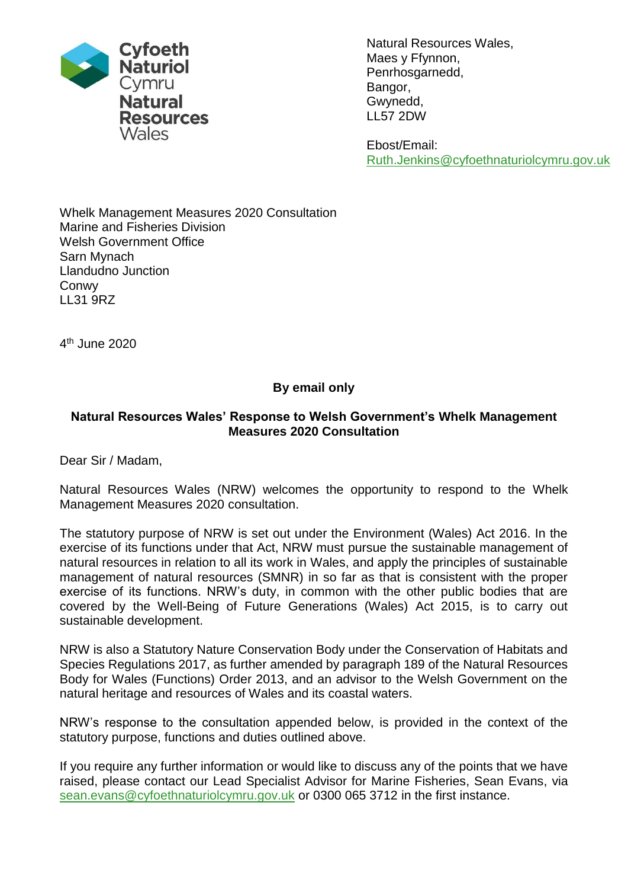

Natural Resources Wales, Maes y Ffynnon, Penrhosgarnedd, Bangor, Gwynedd, LL57 2DW

Ebost/Email: Ruth.Jenkins@cyfoethnaturiolcymru.gov.uk

Whelk Management Measures 2020 Consultation Marine and Fisheries Division Welsh Government Office Sarn Mynach Llandudno Junction Conwy LL31 9RZ

4 th June 2020

# **By email only**

#### **Natural Resources Wales' Response to Welsh Government's Whelk Management Measures 2020 Consultation**

Dear Sir / Madam,

Natural Resources Wales (NRW) welcomes the opportunity to respond to the Whelk Management Measures 2020 consultation.

The statutory purpose of NRW is set out under the Environment (Wales) Act 2016. In the exercise of its functions under that Act, NRW must pursue the sustainable management of natural resources in relation to all its work in Wales, and apply the principles of sustainable management of natural resources (SMNR) in so far as that is consistent with the proper exercise of its functions. NRW's duty, in common with the other public bodies that are covered by the Well-Being of Future Generations (Wales) Act 2015, is to carry out sustainable development.

NRW is also a Statutory Nature Conservation Body under the Conservation of Habitats and Species Regulations 2017, as further amended by paragraph 189 of the Natural Resources Body for Wales (Functions) Order 2013, and an advisor to the Welsh Government on the natural heritage and resources of Wales and its coastal waters.

NRW's response to the consultation appended below, is provided in the context of the statutory purpose, functions and duties outlined above.

If you require any further information or would like to discuss any of the points that we have raised, please contact our Lead Specialist Advisor for Marine Fisheries, Sean Evans, via [sean.evans@cyfoethnaturiolcymru.gov.uk](mailto:sean.evans@cyfoethnaturiolcymru.gov.uk) or 0300 065 3712 in the first instance.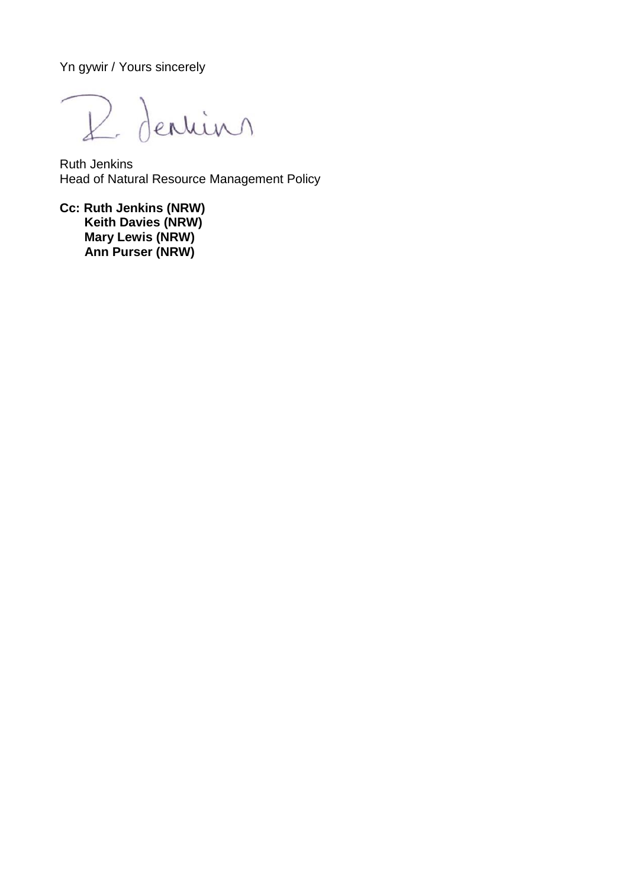Yn gywir / Yours sincerely

R. Dention

Ruth Jenkins Head of Natural Resource Management Policy

**Cc: Ruth Jenkins (NRW) Keith Davies (NRW) Mary Lewis (NRW) Ann Purser (NRW)**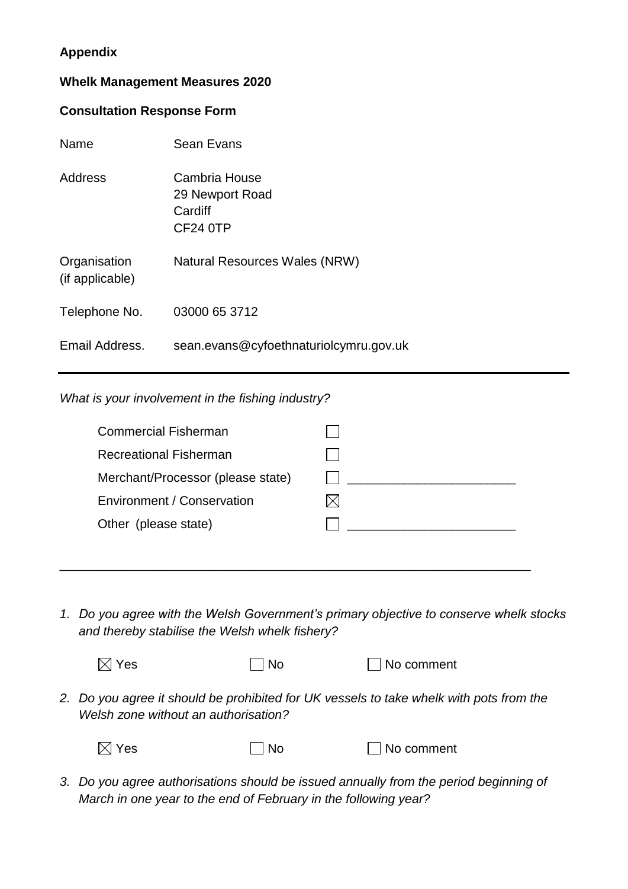# **Appendix**

## **Whelk Management Measures 2020**

#### **Consultation Response Form**

| Name                            | Sean Evans                                              |
|---------------------------------|---------------------------------------------------------|
| <b>Address</b>                  | Cambria House<br>29 Newport Road<br>Cardiff<br>CF24 0TP |
| Organisation<br>(if applicable) | Natural Resources Wales (NRW)                           |
| Telephone No.                   | 03000 65 3712                                           |
| Email Address.                  | sean.evans@cyfoethnaturiolcymru.gov.uk                  |

## *What is your involvement in the fishing industry?*

| <b>Commercial Fisherman</b>       |  |
|-----------------------------------|--|
| <b>Recreational Fisherman</b>     |  |
| Merchant/Processor (please state) |  |
| Environment / Conservation        |  |
| Other (please state)              |  |
|                                   |  |

\_\_\_\_\_\_\_\_\_\_\_\_\_\_\_\_\_\_\_\_\_\_\_\_\_\_\_\_\_\_\_\_\_\_\_\_\_\_\_\_\_\_\_\_\_\_\_\_\_\_\_\_\_\_\_\_\_\_\_\_\_\_\_\_\_\_\_

*1. Do you agree with the Welsh Government's primary objective to conserve whelk stocks and thereby stabilise the Welsh whelk fishery?*

| $\boxtimes$ Yes | $\Box$ No | $\Box$ No comment |
|-----------------|-----------|-------------------|
|                 |           |                   |

*2. Do you agree it should be prohibited for UK vessels to take whelk with pots from the Welsh zone without an authorisation?* 

| $\boxtimes$ Yes | $\overline{\phantom{a}}$ No | $\Box$ No comment |
|-----------------|-----------------------------|-------------------|
|                 |                             |                   |

*3. Do you agree authorisations should be issued annually from the period beginning of March in one year to the end of February in the following year?*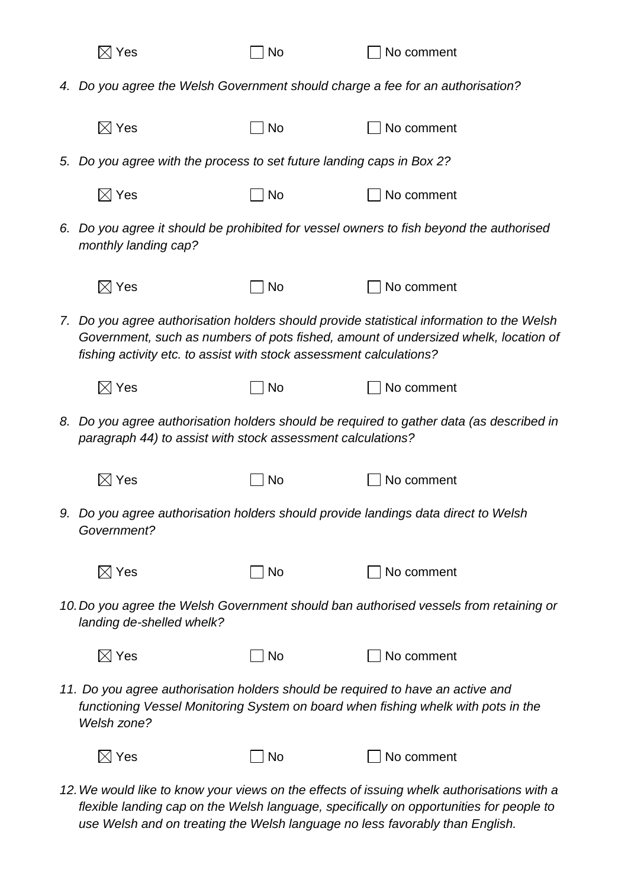| $\boxtimes$ Yes                                                                                                                                                                                                                                         | No | No comment                                                                                                                                                                                                                                                            |  |  |
|---------------------------------------------------------------------------------------------------------------------------------------------------------------------------------------------------------------------------------------------------------|----|-----------------------------------------------------------------------------------------------------------------------------------------------------------------------------------------------------------------------------------------------------------------------|--|--|
| 4. Do you agree the Welsh Government should charge a fee for an authorisation?                                                                                                                                                                          |    |                                                                                                                                                                                                                                                                       |  |  |
| $\boxtimes$ Yes                                                                                                                                                                                                                                         | No | No comment                                                                                                                                                                                                                                                            |  |  |
| 5. Do you agree with the process to set future landing caps in Box 2?                                                                                                                                                                                   |    |                                                                                                                                                                                                                                                                       |  |  |
| $\boxtimes$ Yes                                                                                                                                                                                                                                         | No | No comment                                                                                                                                                                                                                                                            |  |  |
| 6. Do you agree it should be prohibited for vessel owners to fish beyond the authorised<br>monthly landing cap?                                                                                                                                         |    |                                                                                                                                                                                                                                                                       |  |  |
| $\boxtimes$ Yes                                                                                                                                                                                                                                         | No | No comment                                                                                                                                                                                                                                                            |  |  |
| 7. Do you agree authorisation holders should provide statistical information to the Welsh<br>Government, such as numbers of pots fished, amount of undersized whelk, location of<br>fishing activity etc. to assist with stock assessment calculations? |    |                                                                                                                                                                                                                                                                       |  |  |
| $\boxtimes$ Yes                                                                                                                                                                                                                                         | No | No comment                                                                                                                                                                                                                                                            |  |  |
| 8. Do you agree authorisation holders should be required to gather data (as described in<br>paragraph 44) to assist with stock assessment calculations?                                                                                                 |    |                                                                                                                                                                                                                                                                       |  |  |
| $\boxtimes$ Yes                                                                                                                                                                                                                                         | No | No comment                                                                                                                                                                                                                                                            |  |  |
| Government?                                                                                                                                                                                                                                             |    | 9. Do you agree authorisation holders should provide landings data direct to Welsh                                                                                                                                                                                    |  |  |
| $\boxtimes$ Yes                                                                                                                                                                                                                                         | No | No comment                                                                                                                                                                                                                                                            |  |  |
| landing de-shelled whelk?                                                                                                                                                                                                                               |    | 10. Do you agree the Welsh Government should ban authorised vessels from retaining or                                                                                                                                                                                 |  |  |
| $\boxtimes$ Yes                                                                                                                                                                                                                                         | No | No comment                                                                                                                                                                                                                                                            |  |  |
| Welsh zone?                                                                                                                                                                                                                                             |    | 11. Do you agree authorisation holders should be required to have an active and<br>functioning Vessel Monitoring System on board when fishing whelk with pots in the                                                                                                  |  |  |
| $\boxtimes$ Yes                                                                                                                                                                                                                                         | No | No comment                                                                                                                                                                                                                                                            |  |  |
|                                                                                                                                                                                                                                                         |    | 12. We would like to know your views on the effects of issuing whelk authorisations with a<br>flexible landing cap on the Welsh language, specifically on opportunities for people to<br>use Welsh and on treating the Welsh language no less favorably than English. |  |  |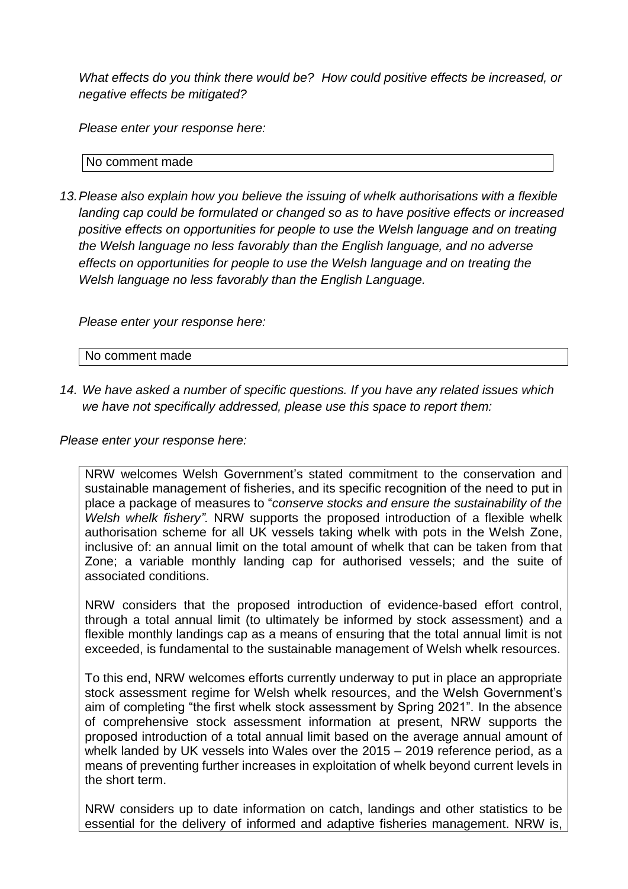*What effects do you think there would be? How could positive effects be increased, or negative effects be mitigated?*

*Please enter your response here:*

No comment made

*13.Please also explain how you believe the issuing of whelk authorisations with a flexible landing cap could be formulated or changed so as to have positive effects or increased positive effects on opportunities for people to use the Welsh language and on treating the Welsh language no less favorably than the English language, and no adverse effects on opportunities for people to use the Welsh language and on treating the Welsh language no less favorably than the English Language.* 

*Please enter your response here:*

No comment made

*14. We have asked a number of specific questions. If you have any related issues which we have not specifically addressed, please use this space to report them:*

*Please enter your response here:*

NRW welcomes Welsh Government's stated commitment to the conservation and sustainable management of fisheries, and its specific recognition of the need to put in place a package of measures to "*conserve stocks and ensure the sustainability of the Welsh whelk fishery".* NRW supports the proposed introduction of a flexible whelk authorisation scheme for all UK vessels taking whelk with pots in the Welsh Zone, inclusive of: an annual limit on the total amount of whelk that can be taken from that Zone; a variable monthly landing cap for authorised vessels; and the suite of associated conditions.

NRW considers that the proposed introduction of evidence-based effort control, through a total annual limit (to ultimately be informed by stock assessment) and a flexible monthly landings cap as a means of ensuring that the total annual limit is not exceeded, is fundamental to the sustainable management of Welsh whelk resources.

To this end, NRW welcomes efforts currently underway to put in place an appropriate stock assessment regime for Welsh whelk resources, and the Welsh Government's aim of completing "the first whelk stock assessment by Spring 2021". In the absence of comprehensive stock assessment information at present, NRW supports the proposed introduction of a total annual limit based on the average annual amount of whelk landed by UK vessels into Wales over the 2015 – 2019 reference period, as a means of preventing further increases in exploitation of whelk beyond current levels in the short term.

NRW considers up to date information on catch, landings and other statistics to be essential for the delivery of informed and adaptive fisheries management. NRW is,